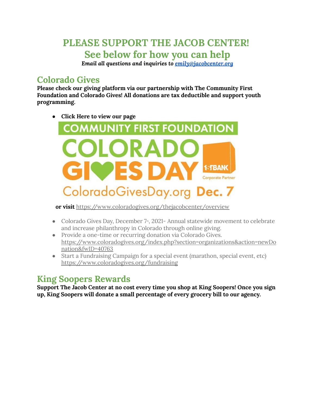# **PLEASE SUPPORT THE JACOB CENTER! See below for how you can help**

*Email all questions and inquiries to emily@jacobcenter.org*

## **Colorado Gives**

**Please check our giving platform via our partnership with The Community First Foundation and Colorado Gives! All donations are tax deductible and support youth programming.**

● **Click Here to view our page**



**or visit** <https://www.coloradogives.org/thejacobcenter/overview>

- Colorado Gives Day, December 7<sup>th</sup>, 2021- Annual statewide movement to celebrate and increase philanthropy in Colorado through online giving.
- Provide a one-time or recurring donation via Colorado Gives. [https://www.coloradogives.org/index.php?section=organizations&action=newDo](https://www.coloradogives.org/index.php?section=organizations&action=newDonation&fwID=40763) [nation&fwID=40763](https://www.coloradogives.org/index.php?section=organizations&action=newDonation&fwID=40763)
- Start a Fundraising Campaign for a special event (marathon, special event, etc) <https://www.coloradogives.org/fundraising>

## **King Soopers Rewards**

**Support The Jacob Center at no cost every time you shop at King Soopers! Once you sign up, King Soopers will donate a small percentage of every grocery bill to our agency.**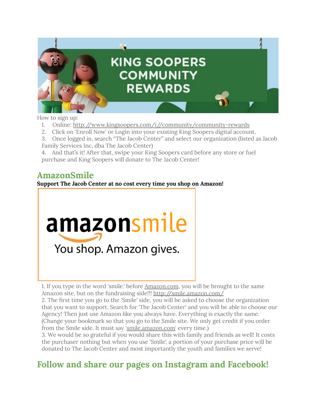

How to sign up:

- 1. Online: [http://www.kingsoopers.com/i//community/community-rewards](http://www.kingsoopers.com/i/community/community-rewards)
- 2. Click on 'Enroll Now' or Login into your existing King Soopers digital account.
- 3. Once logged in, search "The Jacob Center" and select our organization (listed as Jacob Family Services Inc, dba The Jacob Center)
- 4. And that's it! After that, swipe your King Soopers card before any store or fuel purchase and King Soopers will donate to The Jacob Center!

#### **AmazonSmile**

**Support The Jacob Center at no cost every time you shop on Amazon!**



1. If you type in the word 'smile.' before [Amazon.com](https://l.facebook.com/l.php?u=http%3A%2F%2FAmazon.com%2F%3Ffbclid%3DIwAR2Ew9etaeyADX3ROV-cxg4d7BaZ3ePh_BP_H_CnmYGa1Rn5RKAHZiEhWEI&h=AT1pYSelxrw4Xy66zvQQm-h5TBTGCcJvbt-VuE6uhNVLF87x4b42CahODk0_aDz-Uu3fHOo29QD3GpqA_MVkzLFKiHcdzVyuaFPh4iW7euwe3YdhFQcdkUhYBcFCIXZYOZPMX2c&__tn__=-UK-R&c%5B0%5D=AT1_S46uc_QaYQDxofxZosEbezS6Nr9t54sfMzxoqXhlkdpc8DI4x78pVV56PnDD7nFP5I3VCD0idwKKE50lBcpmfoSaUBYrPf5uxRStPgD3l5LcyJAF4Pv8hfm4PFJf8aVbSPd1BSJ_xzHVQmfVnotMDBSlMNe59B2t0bO0NAQB6yFodvB9udC1aayJr33cvVSUTpZM), you will be brought to the same Amazon site, but on the fundraising side!!! <http://smile.amazon.com/>

2. The first time you go to the 'Smile' side, you will be asked to choose the organization that you want to support. Search for 'The Jacob Center' and you will be able to choose our Agency! Then just use Amazon like you always have. Everything is exactly the same. (Change your bookmark so that you go to the Smile site. We only get credit if you order from the Smile side. It must say '[smile.amazon.com](https://smile.amazon.com/?fbclid=IwAR1WgkwAQaHn9GTpzCPLQ4hKkHciVlz0QxIvgfWWYyJBWYQQvl6QN2djPCc)' every time.)

3. We would be so grateful if you would share this with family and friends as well! It costs the purchaser nothing but when you use 'Smile', a portion of your purchase price will be donated to The Jacob Center and most importantly the youth and families we serve!

## **Follow and share our pages on Instagram and Facebook!**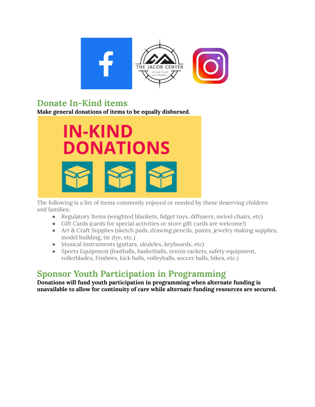

### **Donate In-Kind items**

**Make general donations of items to be equally disbursed.**



The following is a list of items commonly enjoyed or needed by these deserving children and families:

- Regulatory Items (weighted blankets, fidget toys, diffusers, swivel chairs, etc)
- Gift Cards (cards for special activities or store gift cards are welcome!)
- Art & Craft Supplies (sketch pads, drawing pencils, paints, jewelry making supplies, model building, tie dye, etc.)
- Musical Instruments (guitars, ukuleles, keyboards, etc)
- Sports Equipment (footballs, basketballs, tennis rackets, safety equipment, rollerblades, Frisbees, kick balls, volleyballs, soccer balls, bikes, etc.)

## **Sponsor Youth Participation in Programming**

**Donations will fund youth participation in programming when alternate funding is unavailable to allow for continuity of care while alternate funding resources are secured.**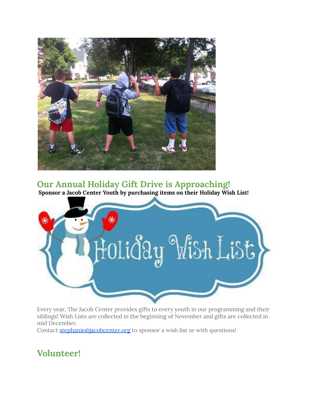

**Our Annual Holiday Gift Drive is Approaching!**

**Sponsor a Jacob Center Youth by purchasing items on their Holiday Wish List!**



Every year, The Jacob Center provides gifts to every youth in our programming and their siblings! Wish Lists are collected in the beginning of November and gifts are collected in mid December.

Contact stephanie@jacobcenter.org to sponsor a wish list or with questions!

## **Volunteer!**